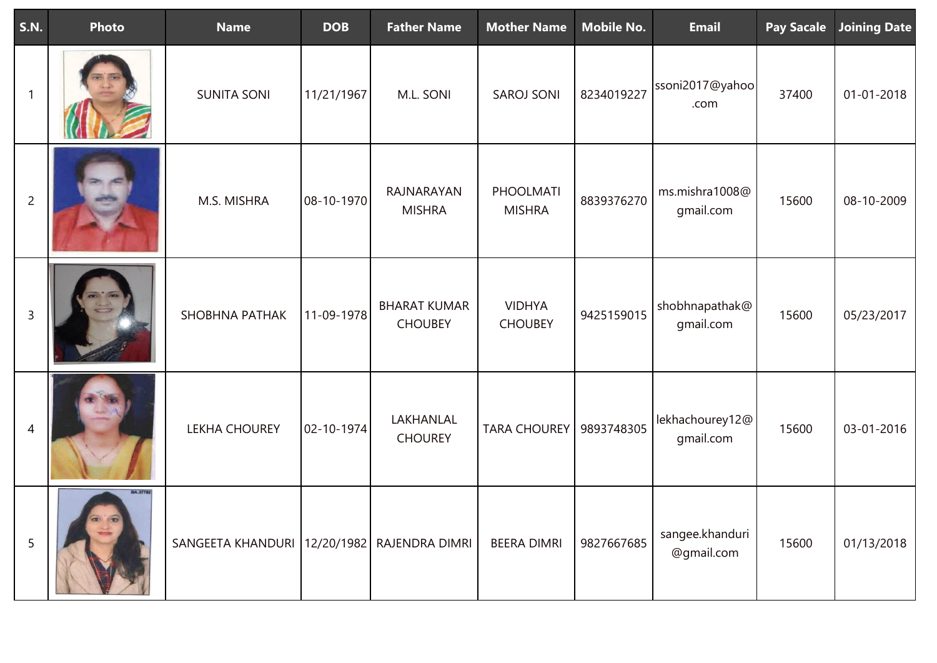| <b>S.N.</b>    | Photo                          | <b>Name</b>           | <b>DOB</b> | <b>Father Name</b>                    | <b>Mother Name</b>              | <b>Mobile No.</b> | <b>Email</b>                  | <b>Pay Sacale</b> | <b>Joining Date</b> |
|----------------|--------------------------------|-----------------------|------------|---------------------------------------|---------------------------------|-------------------|-------------------------------|-------------------|---------------------|
| -1             |                                | <b>SUNITA SONI</b>    | 11/21/1967 | M.L. SONI                             | <b>SAROJ SONI</b>               | 8234019227        | ssoni2017@yahoo<br>.com       | 37400             | $01 - 01 - 2018$    |
| $\overline{2}$ |                                | M.S. MISHRA           | 08-10-1970 | RAJNARAYAN<br><b>MISHRA</b>           | PHOOLMATI<br><b>MISHRA</b>      | 8839376270        | ms.mishra1008@<br>gmail.com   | 15600             | 08-10-2009          |
| $\mathsf{3}$   |                                | <b>SHOBHNA PATHAK</b> | 11-09-1978 | <b>BHARAT KUMAR</b><br><b>CHOUBEY</b> | <b>VIDHYA</b><br><b>CHOUBEY</b> | 9425159015        | shobhnapathak@<br>gmail.com   | 15600             | 05/23/2017          |
| 4              |                                | <b>LEKHA CHOUREY</b>  | 02-10-1974 | LAKHANLAL<br><b>CHOUREY</b>           | <b>TARA CHOUREY</b>             | 9893748305        | lekhachourey12@<br>gmail.com  | 15600             | 03-01-2016          |
| 5              | <b>BA.37782</b><br><b>CREW</b> | SANGEETA KHANDURI     |            | 12/20/1982 RAJENDRA DIMRI             | <b>BEERA DIMRI</b>              | 9827667685        | sangee.khanduri<br>@gmail.com | 15600             | 01/13/2018          |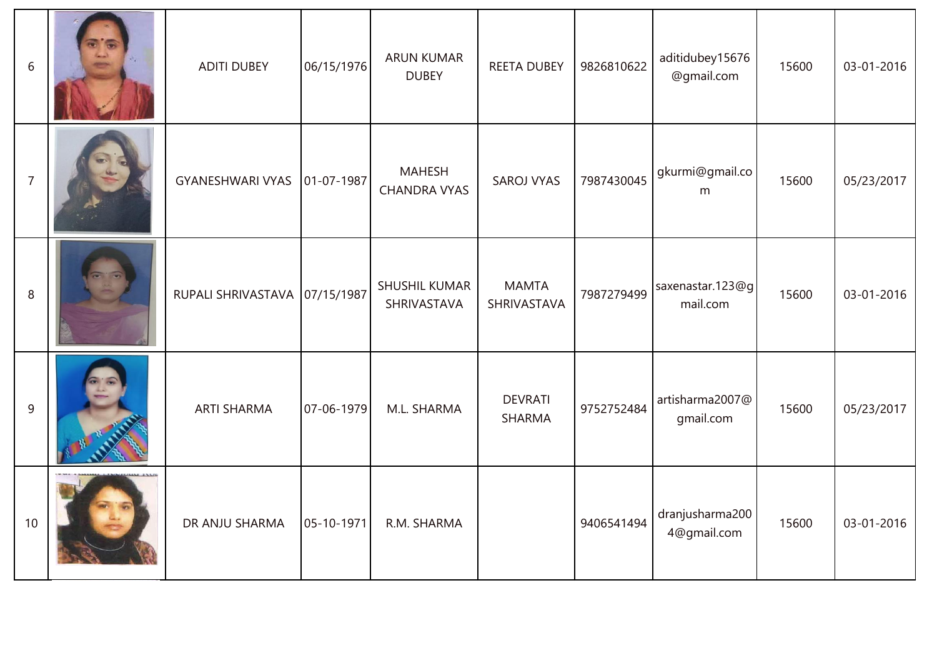| 6              | <b>ADITI DUBEY</b>              | 06/15/1976       | <b>ARUN KUMAR</b><br><b>DUBEY</b>    | <b>REETA DUBEY</b>              | 9826810622 | aditidubey15676<br>@gmail.com  | 15600 | 03-01-2016 |
|----------------|---------------------------------|------------------|--------------------------------------|---------------------------------|------------|--------------------------------|-------|------------|
| $\overline{7}$ | <b>GYANESHWARI VYAS</b>         | $01 - 07 - 1987$ | <b>MAHESH</b><br><b>CHANDRA VYAS</b> | <b>SAROJ VYAS</b>               | 7987430045 | gkurmi@gmail.co<br>m           | 15600 | 05/23/2017 |
| 8              | RUPALI SHRIVASTAVA   07/15/1987 |                  | SHUSHIL KUMAR<br>SHRIVASTAVA         | <b>MAMTA</b><br>SHRIVASTAVA     | 7987279499 | saxenastar.123@g<br>mail.com   | 15600 | 03-01-2016 |
| 9              | <b>ARTI SHARMA</b>              | 07-06-1979       | M.L. SHARMA                          | <b>DEVRATI</b><br><b>SHARMA</b> | 9752752484 | artisharma2007@<br>gmail.com   | 15600 | 05/23/2017 |
| 10             | DR ANJU SHARMA                  | 05-10-1971       | R.M. SHARMA                          |                                 | 9406541494 | dranjusharma200<br>4@gmail.com | 15600 | 03-01-2016 |